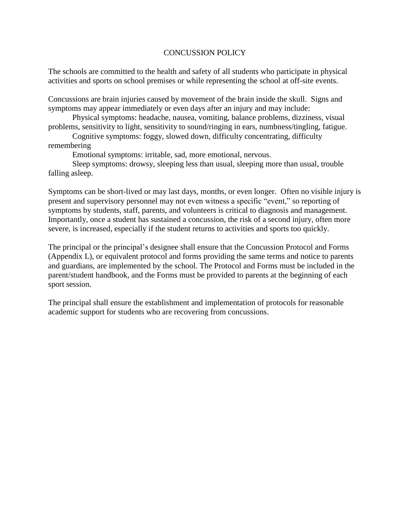## CONCUSSION POLICY

The schools are committed to the health and safety of all students who participate in physical activities and sports on school premises or while representing the school at off-site events.

Concussions are brain injuries caused by movement of the brain inside the skull. Signs and symptoms may appear immediately or even days after an injury and may include:

Physical symptoms: headache, nausea, vomiting, balance problems, dizziness, visual problems, sensitivity to light, sensitivity to sound/ringing in ears, numbness/tingling, fatigue.

Cognitive symptoms: foggy, slowed down, difficulty concentrating, difficulty remembering

Emotional symptoms: irritable, sad, more emotional, nervous.

Sleep symptoms: drowsy, sleeping less than usual, sleeping more than usual, trouble falling asleep.

Symptoms can be short-lived or may last days, months, or even longer. Often no visible injury is present and supervisory personnel may not even witness a specific "event," so reporting of symptoms by students, staff, parents, and volunteers is critical to diagnosis and management. Importantly, once a student has sustained a concussion, the risk of a second injury, often more severe, is increased, especially if the student returns to activities and sports too quickly.

The principal or the principal's designee shall ensure that the Concussion Protocol and Forms (Appendix L), or equivalent protocol and forms providing the same terms and notice to parents and guardians, are implemented by the school. The Protocol and Forms must be included in the parent/student handbook, and the Forms must be provided to parents at the beginning of each sport session.

The principal shall ensure the establishment and implementation of protocols for reasonable academic support for students who are recovering from concussions.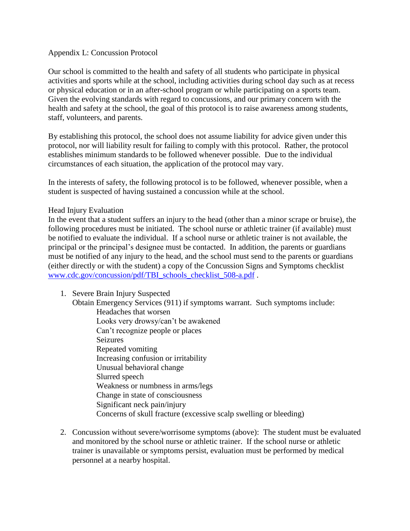### Appendix L: Concussion Protocol

Our school is committed to the health and safety of all students who participate in physical activities and sports while at the school, including activities during school day such as at recess or physical education or in an after-school program or while participating on a sports team. Given the evolving standards with regard to concussions, and our primary concern with the health and safety at the school, the goal of this protocol is to raise awareness among students, staff, volunteers, and parents.

By establishing this protocol, the school does not assume liability for advice given under this protocol, nor will liability result for failing to comply with this protocol. Rather, the protocol establishes minimum standards to be followed whenever possible. Due to the individual circumstances of each situation, the application of the protocol may vary.

In the interests of safety, the following protocol is to be followed, whenever possible, when a student is suspected of having sustained a concussion while at the school.

### Head Injury Evaluation

In the event that a student suffers an injury to the head (other than a minor scrape or bruise), the following procedures must be initiated. The school nurse or athletic trainer (if available) must be notified to evaluate the individual. If a school nurse or athletic trainer is not available, the principal or the principal's designee must be contacted. In addition, the parents or guardians must be notified of any injury to the head, and the school must send to the parents or guardians (either directly or with the student) a copy of the Concussion Signs and Symptoms checklist [www.cdc.gov/concussion/pdf/TBI\\_schools\\_checklist\\_508-a.pdf](http://www.cdc.gov/concussion/pdf/TBI_schools_checklist_508-a.pdf) .

1. Severe Brain Injury Suspected

Obtain Emergency Services (911) if symptoms warrant. Such symptoms include: Headaches that worsen Looks very drowsy/can't be awakened Can't recognize people or places Seizures Repeated vomiting Increasing confusion or irritability Unusual behavioral change Slurred speech Weakness or numbness in arms/legs Change in state of consciousness Significant neck pain/injury Concerns of skull fracture (excessive scalp swelling or bleeding)

2. Concussion without severe/worrisome symptoms (above): The student must be evaluated and monitored by the school nurse or athletic trainer. If the school nurse or athletic trainer is unavailable or symptoms persist, evaluation must be performed by medical personnel at a nearby hospital.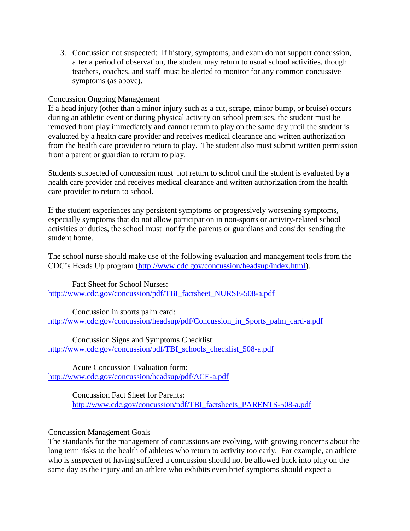3. Concussion not suspected: If history, symptoms, and exam do not support concussion, after a period of observation, the student may return to usual school activities, though teachers, coaches, and staff must be alerted to monitor for any common concussive symptoms (as above).

# Concussion Ongoing Management

If a head injury (other than a minor injury such as a cut, scrape, minor bump, or bruise) occurs during an athletic event or during physical activity on school premises, the student must be removed from play immediately and cannot return to play on the same day until the student is evaluated by a health care provider and receives medical clearance and written authorization from the health care provider to return to play. The student also must submit written permission from a parent or guardian to return to play.

Students suspected of concussion must not return to school until the student is evaluated by a health care provider and receives medical clearance and written authorization from the health care provider to return to school.

If the student experiences any persistent symptoms or progressively worsening symptoms, especially symptoms that do not allow participation in non-sports or activity-related school activities or duties, the school must notify the parents or guardians and consider sending the student home.

The school nurse should make use of the following evaluation and management tools from the CDC's Heads Up program [\(http://www.cdc.gov/concussion/headsup/index.html\)](http://www.cdc.gov/concussion/headsup/index.html).

Fact Sheet for School Nurses: [http://www.cdc.gov/concussion/pdf/TBI\\_factsheet\\_NURSE-508-a.pdf](http://www.cdc.gov/concussion/pdf/TBI_factsheet_NURSE-508-a.pdf)

Concussion in sports palm card: [http://www.cdc.gov/concussion/headsup/pdf/Concussion\\_in\\_Sports\\_palm\\_card-a.pdf](http://www.cdc.gov/concussion/headsup/pdf/Concussion_in_Sports_palm_card-a.pdf)

Concussion Signs and Symptoms Checklist: [http://www.cdc.gov/concussion/pdf/TBI\\_schools\\_checklist\\_508-a.pdf](http://www.cdc.gov/concussion/pdf/TBI_schools_checklist_508-a.pdf)

Acute Concussion Evaluation form: <http://www.cdc.gov/concussion/headsup/pdf/ACE-a.pdf>

> Concussion Fact Sheet for Parents: [http://www.cdc.gov/concussion/pdf/TBI\\_factsheets\\_PARENTS-508-a.pdf](http://www.cdc.gov/concussion/pdf/TBI_factsheets_PARENTS-508-a.pdf)

## Concussion Management Goals

The standards for the management of concussions are evolving, with growing concerns about the long term risks to the health of athletes who return to activity too early. For example, an athlete who is *suspected* of having suffered a concussion should not be allowed back into play on the same day as the injury and an athlete who exhibits even brief symptoms should expect a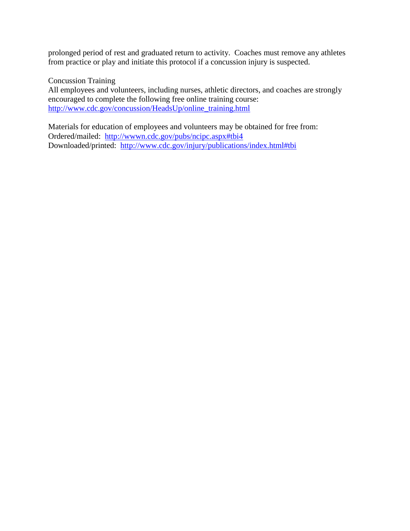prolonged period of rest and graduated return to activity. Coaches must remove any athletes from practice or play and initiate this protocol if a concussion injury is suspected.

Concussion Training

All employees and volunteers, including nurses, athletic directors, and coaches are strongly encouraged to complete the following free online training course: [http://www.cdc.gov/concussion/HeadsUp/online\\_training.html](https://owa.hitchcock.org/owa/redir.aspx?C=IC-gwpf85kGdVWtOi7-sCX24Z9qf-88IZ9eA0J_bYcMXF41FnEN9Dk1ZdGsUO8KlFWYLMfZU7ZY.&URL=http%3a%2f%2fwww.cdc.gov%2fconcussion%2fHeadsUp%2fonline_training.html)

Materials for education of employees and volunteers may be obtained for free from: Ordered/mailed: <http://wwwn.cdc.gov/pubs/ncipc.aspx#tbi4> Downloaded/printed: <http://www.cdc.gov/injury/publications/index.html#tbi>